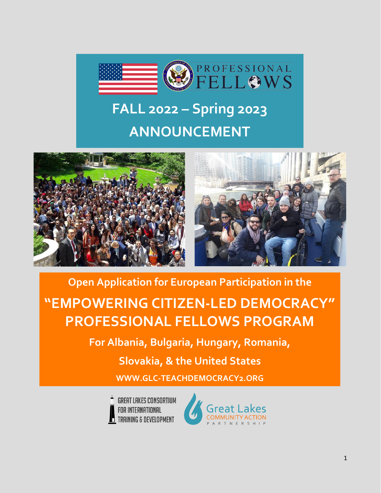

# **FALL 2022 – Spring 2023 ANNOUNCEMENT**





#### **Open Application for European Participation in the**

# **"EMPOWERING CITIZEN-LED DEMOCRACY" PROFESSIONAL FELLOWS PROGRAM**

**For Albania, Bulgaria, Hungary, Romania,** 

**Slovakia, & the United States**

**[WWW.GLC-TEACHDEMOCRACY2.ORG](http://www.glc-teachdemocracy2.org/)**



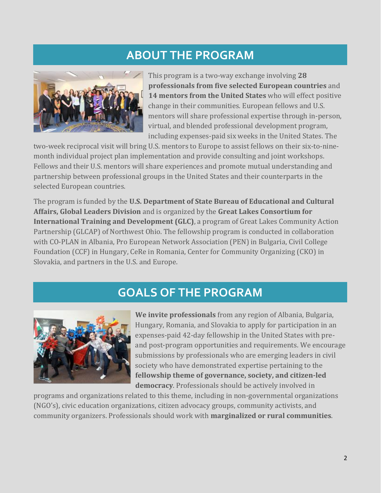#### **ABOUT THE PROGRAM**



This program is a two-way exchange involving **28 professionals from five selected European countries** and **14 mentors from the United States** who will effect positive change in their communities. European fellows and U.S. mentors will share professional expertise through in-person, virtual, and blended professional development program, including expenses-paid six weeks in the United States. The

two-week reciprocal visit will bring U.S. mentors to Europe to assist fellows on their six-to-ninemonth individual project plan implementation and provide consulting and joint workshops. Fellows and their U.S. mentors will share experiences and promote mutual understanding and partnership between professional groups in the United States and their counterparts in the selected European countries.

The program is funded by the **U.S. Department of State Bureau of Educational and Cultural Affairs, Global Leaders Division** and is organized by the **Great Lakes Consortium for International Training and Development (GLC)**, a program of Great Lakes Community Action Partnership (GLCAP) of Northwest Ohio. The fellowship program is conducted in collaboration with CO-PLAN in Albania, Pro European Network Association (PEN) in Bulgaria, Civil College Foundation (CCF) in Hungary, CeRe in Romania, Center for Community Organizing (CKO) in Slovakia, and partners in the U.S. and Europe.

#### **GOALS OF THE PROGRAM**



**We invite professionals** from any region of Albania, Bulgaria, Hungary, Romania, and Slovakia to apply for participation in an expenses-paid 42-day fellowship in the United States with preand post-program opportunities and requirements. We encourage submissions by professionals who are emerging leaders in civil society who have demonstrated expertise pertaining to the **fellowship theme of governance, society, and citizen-led democracy**. Professionals should be actively involved in

programs and organizations related to this theme, including in non-governmental organizations (NGO's), civic education organizations, citizen advocacy groups, community activists, and community organizers. Professionals should work with **marginalized or rural communities**.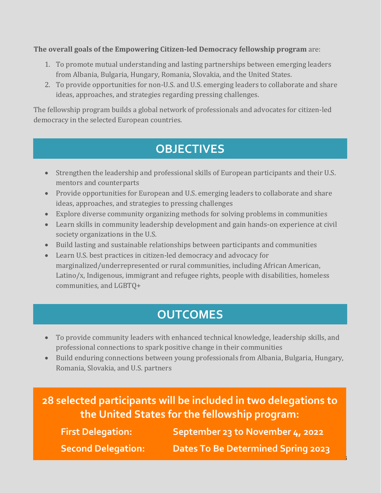**The overall goals of the Empowering Citizen-led Democracy fellowship program** are:

- 1. To promote mutual understanding and lasting partnerships between emerging leaders from Albania, Bulgaria, Hungary, Romania, Slovakia, and the United States.
- 2. To provide opportunities for non-U.S. and U.S. emerging leaders to collaborate and share ideas, approaches, and strategies regarding pressing challenges.

The fellowship program builds a global network of professionals and advocates for citizen-led democracy in the selected European countries.

### **OBJECTIVES**

- Strengthen the leadership and professional skills of European participants and their U.S. mentors and counterparts
- Provide opportunities for European and U.S. emerging leaders to collaborate and share ideas, approaches, and strategies to pressing challenges
- Explore diverse community organizing methods for solving problems in communities
- Learn skills in community leadership development and gain hands-on experience at civil society organizations in the U.S.
- Build lasting and sustainable relationships between participants and communities
- Learn U.S. best practices in citizen-led democracy and advocacy for marginalized/underrepresented or rural communities, including African American, Latino/x, Indigenous, immigrant and refugee rights, people with disabilities, homeless communities, and LGBTQ+

### **OUTCOMES**

- To provide community leaders with enhanced technical knowledge, leadership skills, and professional connections to spark positive change in their communities
- Build enduring connections between young professionals from Albania, Bulgaria, Hungary, Romania, Slovakia, and U.S. partners

| 28 selected participants will be included in two delegations to<br>the United States for the fellowship program: |                                           |  |
|------------------------------------------------------------------------------------------------------------------|-------------------------------------------|--|
| <b>First Delegation:</b>                                                                                         | September 23 to November 4, 2022          |  |
| <b>Second Delegation:</b>                                                                                        | <b>Dates To Be Determined Spring 2023</b> |  |

3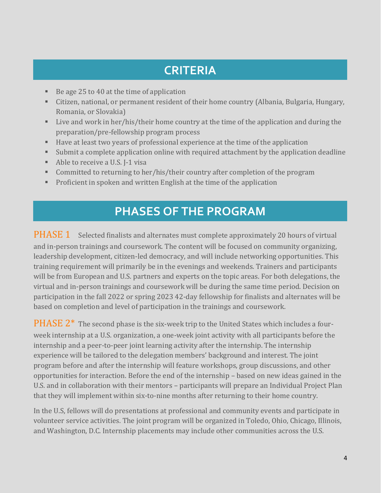## **CRITERIA**

- Be age 25 to 40 at the time of application
- Citizen, national, or permanent resident of their home country (Albania, Bulgaria, Hungary, Romania, or Slovakia)
- Live and work in her/his/their home country at the time of the application and during the preparation/pre-fellowship program process
- Have at least two years of professional experience at the time of the application
- Submit a complete application online with required attachment by the application deadline
- Able to receive a U.S. I-1 visa
- **Committed to returning to her/his/their country after completion of the program**
- Proficient in spoken and written English at the time of the application

#### **PHASES OF THE PROGRAM**

PHASE 1 Selected finalists and alternates must complete approximately 20 hours of virtual and in-person trainings and coursework. The content will be focused on community organizing, leadership development, citizen-led democracy, and will include networking opportunities. This training requirement will primarily be in the evenings and weekends. Trainers and participants will be from European and U.S. partners and experts on the topic areas. For both delegations, the virtual and in-person trainings and coursework will be during the same time period. Decision on participation in the fall 2022 or spring 2023 42-day fellowship for finalists and alternates will be based on completion and level of participation in the trainings and coursework.

PHASE 2<sup>\*</sup> The second phase is the six-week trip to the United States which includes a fourweek internship at a U.S. organization, a one-week joint activity with all participants before the internship and a peer-to-peer joint learning activity after the internship. The internship experience will be tailored to the delegation members' background and interest. The joint program before and after the internship will feature workshops, group discussions, and other opportunities for interaction. Before the end of the internship – based on new ideas gained in the U.S. and in collaboration with their mentors – participants will prepare an Individual Project Plan that they will implement within six-to-nine months after returning to their home country.

In the U.S, fellows will do presentations at professional and community events and participate in volunteer service activities. The joint program will be organized in Toledo, Ohio, Chicago, Illinois, and Washington, D.C. Internship placements may include other communities across the U.S.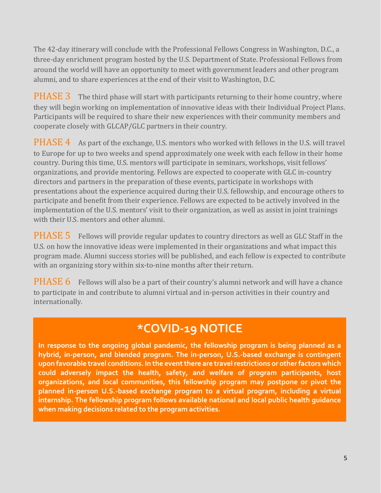The 42-day itinerary will conclude with the Professional Fellows Congress in Washington, D.C., a three-day enrichment program hosted by the U.S. Department of State. Professional Fellows from around the world will have an opportunity to meet with government leaders and other program alumni, and to share experiences at the end of their visit to Washington, D.C.

**PHASE 3** The third phase will start with participants returning to their home country, where they will begin working on implementation of innovative ideas with their Individual Project Plans. Participants will be required to share their new experiences with their community members and cooperate closely with GLCAP/GLC partners in their country.

**PHASE 4** As part of the exchange, U.S. mentors who worked with fellows in the U.S. will travel to Europe for up to two weeks and spend approximately one week with each fellow in their home country. During this time, U.S. mentors will participate in seminars, workshops, visit fellows' organizations, and provide mentoring. Fellows are expected to cooperate with GLC in-country directors and partners in the preparation of these events, participate in workshops with presentations about the experience acquired during their U.S. fellowship, and encourage others to participate and benefit from their experience. Fellows are expected to be actively involved in the implementation of the U.S. mentors' visit to their organization, as well as assist in joint trainings with their U.S. mentors and other alumni.

PHASE 5 Fellows will provide regular updates to country directors as well as GLC Staff in the U.S. on how the innovative ideas were implemented in their organizations and what impact this program made. Alumni success stories will be published, and each fellow is expected to contribute with an organizing story within six-to-nine months after their return.

**PHASE 6** Fellows will also be a part of their country's alumni network and will have a chance to participate in and contribute to alumni virtual and in-person activities in their country and internationally.

### **\*COVID-19 NOTICE**

**In response to the ongoing global pandemic, the fellowship program is being planned as a hybrid, in-person, and blended program. The in-person, U.S.-based exchange is contingent upon favorable travel conditions. In the event there are travel restrictions or other factors which could adversely impact the health, safety, and welfare of program participants, host organizations, and local communities, this fellowship program may postpone or pivot the planned in-person U.S.-based exchange program to a virtual program, including a virtual internship. The fellowship program follows available national and local public health guidance when making decisions related to the program activities.**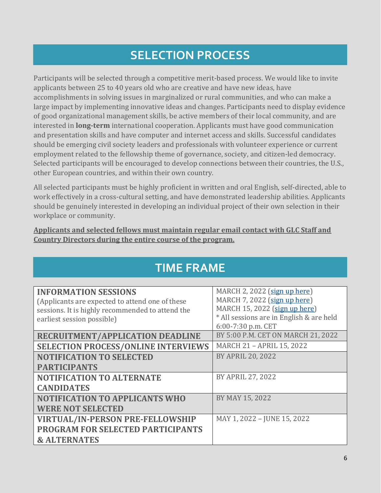### **SELECTION PROCESS**

Participants will be selected through a competitive merit-based process. We would like to invite applicants between 25 to 40 years old who are creative and have new ideas, have accomplishments in solving issues in marginalized or rural communities, and who can make a large impact by implementing innovative ideas and changes. Participants need to display evidence of good organizational management skills, be active members of their local community, and are interested in **long-term** international cooperation. Applicants must have good communication and presentation skills and have computer and internet access and skills. Successful candidates should be emerging civil society leaders and professionals with volunteer experience or current employment related to the fellowship theme of governance, society, and citizen-led democracy. Selected participants will be encouraged to develop connections between their countries, the U.S., other European countries, and within their own country.

All selected participants must be highly proficient in written and oral English, self-directed, able to work effectively in a cross-cultural setting, and have demonstrated leadership abilities. Applicants should be genuinely interested in developing an individual project of their own selection in their workplace or community.

#### **Applicants and selected fellows must maintain regular email contact with GLC Staff and Country Directors during the entire course of the program.**

| <b>INFORMATION SESSIONS</b>                      | MARCH 2, 2022 (sign up here)             |
|--------------------------------------------------|------------------------------------------|
| (Applicants are expected to attend one of these  | MARCH 7, 2022 (sign up here)             |
| sessions. It is highly recommended to attend the | MARCH 15, 2022 (sign up here)            |
| earliest session possible)                       | * All sessions are in English & are held |
|                                                  | 6:00-7:30 p.m. CET                       |
| <b>RECRUITMENT/APPLICATION DEADLINE</b>          | BY 5:00 P.M. CET ON MARCH 21, 2022       |
| <b>SELECTION PROCESS/ONLINE INTERVIEWS</b>       | <b>MARCH 21 - APRIL 15, 2022</b>         |
| <b>NOTIFICATION TO SELECTED</b>                  | <b>BY APRIL 20, 2022</b>                 |
| <b>PARTICIPANTS</b>                              |                                          |
| <b>NOTIFICATION TO ALTERNATE</b>                 | BY APRIL 27, 2022                        |
| <b>CANDIDATES</b>                                |                                          |
| <b>NOTIFICATION TO APPLICANTS WHO</b>            | BY MAY 15, 2022                          |
| <b>WERE NOT SELECTED</b>                         |                                          |
| <b>VIRTUAL/IN-PERSON PRE-FELLOWSHIP</b>          | MAY 1, 2022 - JUNE 15, 2022              |
| PROGRAM FOR SELECTED PARTICIPANTS                |                                          |
| <b>&amp; ALTERNATES</b>                          |                                          |

### **TIME FRAME**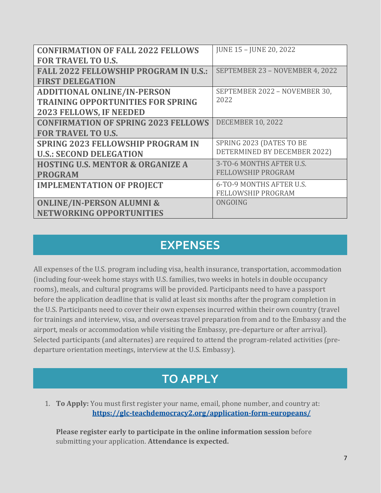| <b>CONFIRMATION OF FALL 2022 FELLOWS</b>     | JUNE 15 - JUNE 20, 2022         |
|----------------------------------------------|---------------------------------|
| <b>FOR TRAVEL TO U.S.</b>                    |                                 |
| <b>FALL 2022 FELLOWSHIP PROGRAM IN U.S.:</b> | SEPTEMBER 23 - NOVEMBER 4, 2022 |
| <b>FIRST DELEGATION</b>                      |                                 |
| <b>ADDITIONAL ONLINE/IN-PERSON</b>           | SEPTEMBER 2022 - NOVEMBER 30,   |
| <b>TRAINING OPPORTUNITIES FOR SPRING</b>     | 2022                            |
| 2023 FELLOWS, IF NEEDED                      |                                 |
| <b>CONFIRMATION OF SPRING 2023 FELLOWS</b>   | <b>DECEMBER 10, 2022</b>        |
| <b>FOR TRAVEL TO U.S.</b>                    |                                 |
| <b>SPRING 2023 FELLOWSHIP PROGRAM IN</b>     | SPRING 2023 (DATES TO BE        |
| <b>U.S.: SECOND DELEGATION</b>               | DETERMINED BY DECEMBER 2022)    |
| <b>HOSTING U.S. MENTOR &amp; ORGANIZE A</b>  | 3-TO-6 MONTHS AFTER U.S.        |
| <b>PROGRAM</b>                               | <b>FELLOWSHIP PROGRAM</b>       |
| <b>IMPLEMENTATION OF PROJECT</b>             | 6-TO-9 MONTHS AFTER U.S.        |
|                                              | <b>FELLOWSHIP PROGRAM</b>       |
| <b>ONLINE/IN-PERSON ALUMNI &amp;</b>         | ONGOING                         |
| <b>NETWORKING OPPORTUNITIES</b>              |                                 |

#### **EXPENSES**

All expenses of the U.S. program including visa, health insurance, transportation, accommodation (including four-week home stays with U.S. families, two weeks in hotels in double occupancy rooms), meals, and cultural programs will be provided. Participants need to have a passport before the application deadline that is valid at least six months after the program completion in the U.S. Participants need to cover their own expenses incurred within their own country (travel for trainings and interview, visa, and overseas travel preparation from and to the Embassy and the airport, meals or accommodation while visiting the Embassy, pre-departure or after arrival). Selected participants (and alternates) are required to attend the program-related activities (predeparture orientation meetings, interview at the U.S. Embassy).

#### **TO APPLY**

1. **To Apply:** You must first register your name, email, phone number, and country at: **<https://glc-teachdemocracy2.org/application-form-europeans/>**

**Please register early to participate in the online information session** before submitting your application. **Attendance is expected.**